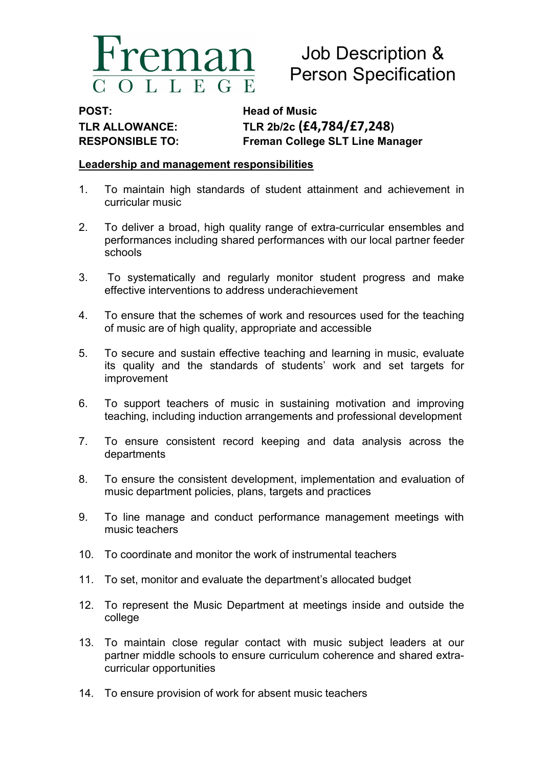

# Job Description & Person Specification

POST: Head of Music

TLR ALLOWANCE: TLR 2b/2c (£4,784/£7,248) RESPONSIBLE TO: Freman College SLT Line Manager

## Leadership and management responsibilities

- 1. To maintain high standards of student attainment and achievement in curricular music
- 2. To deliver a broad, high quality range of extra-curricular ensembles and performances including shared performances with our local partner feeder schools
- 3. To systematically and regularly monitor student progress and make effective interventions to address underachievement
- 4. To ensure that the schemes of work and resources used for the teaching of music are of high quality, appropriate and accessible
- 5. To secure and sustain effective teaching and learning in music, evaluate its quality and the standards of students' work and set targets for improvement
- 6. To support teachers of music in sustaining motivation and improving teaching, including induction arrangements and professional development
- 7. To ensure consistent record keeping and data analysis across the departments
- 8. To ensure the consistent development, implementation and evaluation of music department policies, plans, targets and practices
- 9. To line manage and conduct performance management meetings with music teachers
- 10. To coordinate and monitor the work of instrumental teachers
- 11. To set, monitor and evaluate the department's allocated budget
- 12. To represent the Music Department at meetings inside and outside the college
- 13. To maintain close regular contact with music subject leaders at our partner middle schools to ensure curriculum coherence and shared extracurricular opportunities
- 14. To ensure provision of work for absent music teachers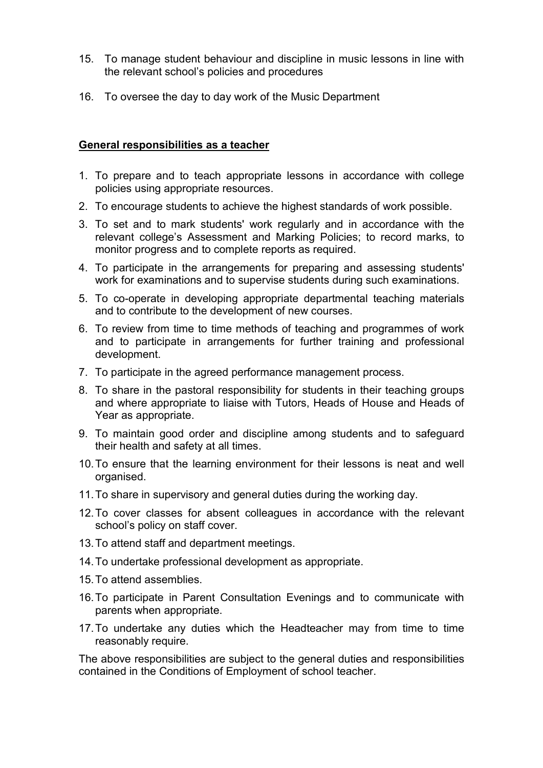- 15. To manage student behaviour and discipline in music lessons in line with the relevant school's policies and procedures
- 16. To oversee the day to day work of the Music Department

## General responsibilities as a teacher

- 1. To prepare and to teach appropriate lessons in accordance with college policies using appropriate resources.
- 2. To encourage students to achieve the highest standards of work possible.
- 3. To set and to mark students' work regularly and in accordance with the relevant college's Assessment and Marking Policies; to record marks, to monitor progress and to complete reports as required.
- 4. To participate in the arrangements for preparing and assessing students' work for examinations and to supervise students during such examinations.
- 5. To co-operate in developing appropriate departmental teaching materials and to contribute to the development of new courses.
- 6. To review from time to time methods of teaching and programmes of work and to participate in arrangements for further training and professional development.
- 7. To participate in the agreed performance management process.
- 8. To share in the pastoral responsibility for students in their teaching groups and where appropriate to liaise with Tutors, Heads of House and Heads of Year as appropriate.
- 9. To maintain good order and discipline among students and to safeguard their health and safety at all times.
- 10. To ensure that the learning environment for their lessons is neat and well organised.
- 11. To share in supervisory and general duties during the working day.
- 12. To cover classes for absent colleagues in accordance with the relevant school's policy on staff cover.
- 13. To attend staff and department meetings.
- 14. To undertake professional development as appropriate.
- 15. To attend assemblies.
- 16. To participate in Parent Consultation Evenings and to communicate with parents when appropriate.
- 17. To undertake any duties which the Headteacher may from time to time reasonably require.

The above responsibilities are subject to the general duties and responsibilities contained in the Conditions of Employment of school teacher.